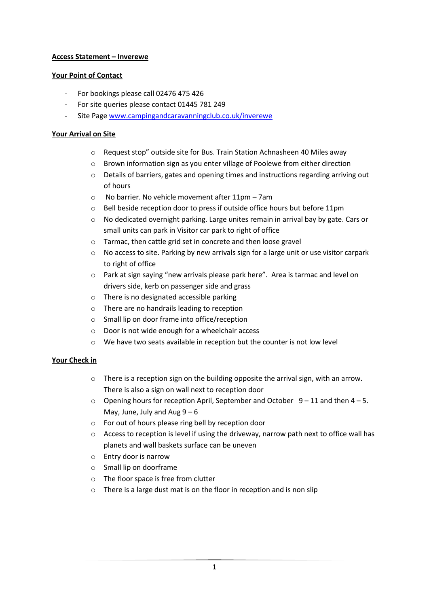### **Access Statement – Inverewe**

### **Your Point of Contact**

- For bookings please call 02476 475 426
- For site queries please contact 01445 781 249
- Site Page www.campingandcaravanningclub.co.uk/inverewe

### **Your Arrival on Site**

- o Request stop" outside site for Bus. Train Station Achnasheen 40 Miles away
- o Brown information sign as you enter village of Poolewe from either direction
- o Details of barriers, gates and opening times and instructions regarding arriving out of hours
- o No barrier. No vehicle movement after 11pm 7am
- o Bell beside reception door to press if outside office hours but before 11pm
- $\circ$  No dedicated overnight parking. Large unites remain in arrival bay by gate. Cars or small units can park in Visitor car park to right of office
- o Tarmac, then cattle grid set in concrete and then loose gravel
- $\circ$  No access to site. Parking by new arrivals sign for a large unit or use visitor carpark to right of office
- o Park at sign saying "new arrivals please park here". Area is tarmac and level on drivers side, kerb on passenger side and grass
- o There is no designated accessible parking
- o There are no handrails leading to reception
- o Small lip on door frame into office/reception
- o Door is not wide enough for a wheelchair access
- o We have two seats available in reception but the counter is not low level

# **Your Check in**

- $\circ$  There is a reception sign on the building opposite the arrival sign, with an arrow. There is also a sign on wall next to reception door
- $\circ$  Opening hours for reception April, September and October 9 11 and then 4 5. May, June, July and Aug  $9 - 6$
- o For out of hours please ring bell by reception door
- o Access to reception is level if using the driveway, narrow path next to office wall has planets and wall baskets surface can be uneven
- o Entry door is narrow
- o Small lip on doorframe
- o The floor space is free from clutter
- o There is a large dust mat is on the floor in reception and is non slip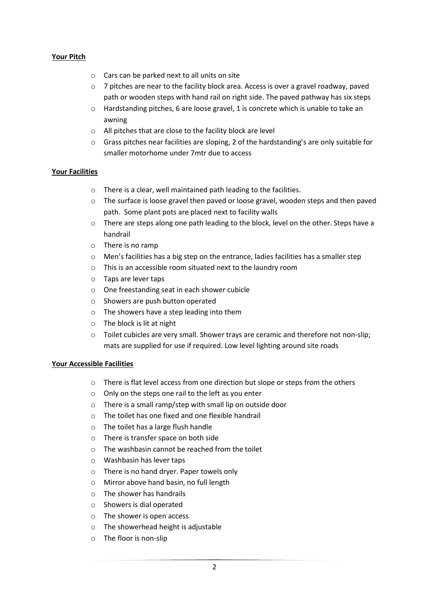### **Your Pitch**

- o Cars can be parked next to all units on site
- $\circ$  7 pitches are near to the facility block area. Access is over a gravel roadway, paved path or wooden steps with hand rail on right side. The paved pathway has six steps
- $\circ$  Hardstanding pitches, 6 are loose gravel, 1 is concrete which is unable to take an awning
- o All pitches that are close to the facility block are level
- $\circ$  Grass pitches near facilities are sloping, 2 of the hardstanding's are only suitable for smaller motorhome under 7mtr due to access

### **Your Facilities**

- o There is a clear, well maintained path leading to the facilities.
- o The surface is loose gravel then paved or loose gravel, wooden steps and then paved path. Some plant pots are placed next to facility walls
- o There are steps along one path leading to the block, level on the other. Steps have a handrail
- o There is no ramp
- $\circ$  Men's facilities has a big step on the entrance, ladies facilities has a smaller step
- o This is an accessible room situated next to the laundry room
- o Taps are lever taps
- o One freestanding seat in each shower cubicle
- o Showers are push button operated
- o The showers have a step leading into them
- o The block is lit at night
- o Toilet cubicles are very small. Shower trays are ceramic and therefore not non-slip; mats are supplied for use if required. Low level lighting around site roads

#### **Your Accessible Facilities**

- o There is flat level access from one direction but slope or steps from the others
- o Only on the steps one rail to the left as you enter
- o There is a small ramp/step with small lip on outside door
- o The toilet has one fixed and one flexible handrail
- o The toilet has a large flush handle
- o There is transfer space on both side
- $\circ$  The washbasin cannot be reached from the toilet
- o Washbasin has lever taps
- o There is no hand dryer. Paper towels only
- o Mirror above hand basin, no full length
- o The shower has handrails
- o Showers is dial operated
- o The shower is open access
- o The showerhead height is adjustable
- o The floor is non-slip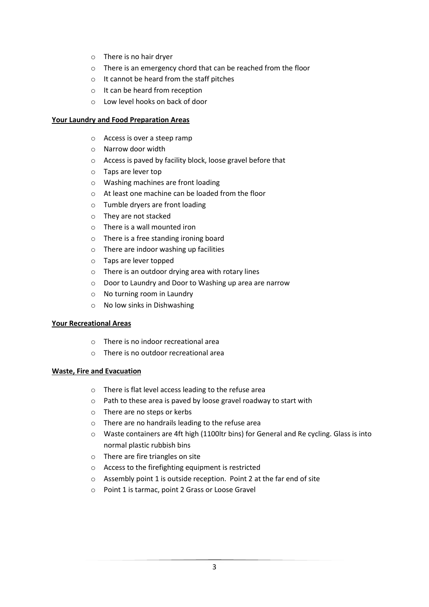- o There is no hair dryer
- o There is an emergency chord that can be reached from the floor
- o It cannot be heard from the staff pitches
- o It can be heard from reception
- o Low level hooks on back of door

#### **Your Laundry and Food Preparation Areas**

- o Access is over a steep ramp
- o Narrow door width
- o Access is paved by facility block, loose gravel before that
- o Taps are lever top
- o Washing machines are front loading
- o At least one machine can be loaded from the floor
- o Tumble dryers are front loading
- o They are not stacked
- o There is a wall mounted iron
- o There is a free standing ironing board
- o There are indoor washing up facilities
- o Taps are lever topped
- o There is an outdoor drying area with rotary lines
- o Door to Laundry and Door to Washing up area are narrow
- o No turning room in Laundry
- o No low sinks in Dishwashing

#### **Your Recreational Areas**

- o There is no indoor recreational area
- o There is no outdoor recreational area

#### **Waste, Fire and Evacuation**

- o There is flat level access leading to the refuse area
- o Path to these area is paved by loose gravel roadway to start with
- o There are no steps or kerbs
- o There are no handrails leading to the refuse area
- o Waste containers are 4ft high (1100ltr bins) for General and Re cycling. Glass is into normal plastic rubbish bins
- o There are fire triangles on site
- o Access to the firefighting equipment is restricted
- o Assembly point 1 is outside reception. Point 2 at the far end of site
- o Point 1 is tarmac, point 2 Grass or Loose Gravel